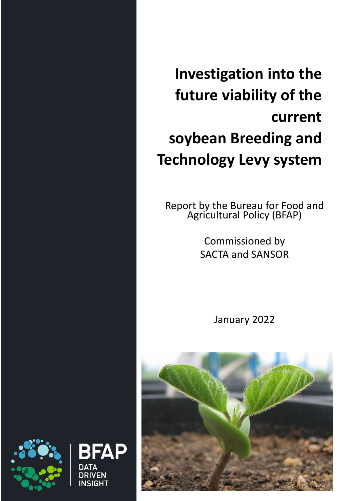**Investigation into the future viability of the current soybean Breeding and Technology Levy system**

Report by the Bureau for Food and Agricultural Policy (BFAP)

> Commissioned by SACTA and SANSOR

> > January 2022





BFAP

∧ד∧ח **DRIVEN** INSIGHT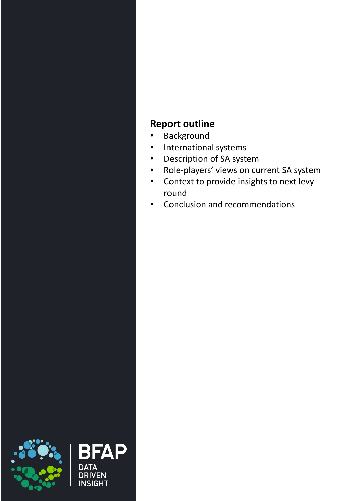### **Report outline**

- Background
- International systems
- Description of SA system
- Role-players' views on current SA system
- Context to provide insights to next levy round
- Conclusion and recommendations



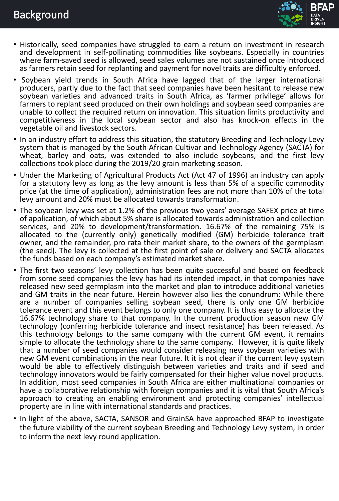## Background



- Historically, seed companies have struggled to earn a return on investment in research and development in self-pollinating commodities like soybeans. Especially in countries where farm-saved seed is allowed, seed sales volumes are not sustained once introduced as farmers retain seed for replanting and payment for novel traits are difficultly enforced.
- Soybean yield trends in South Africa have lagged that of the larger international producers, partly due to the fact that seed companies have been hesitant to release new soybean varieties and advanced traits in South Africa, as 'farmer privilege' allows for farmers to replant seed produced on their own holdings and soybean seed companies are unable to collect the required return on innovation. This situation limits productivity and competitiveness in the local soybean sector and also has knock-on effects in the vegetable oil and livestock sectors.
- In an industry effort to address this situation, the statutory Breeding and Technology Levy system that is managed by the South African Cultivar and Technology Agency (SACTA) for wheat, barley and oats, was extended to also include soybeans, and the first levy collections took place during the 2019/20 grain marketing season.
- Under the Marketing of Agricultural Products Act (Act 47 of 1996) an industry can apply for a statutory levy as long as the levy amount is less than 5% of a specific commodity price (at the time of application), administration fees are not more than 10% of the total levy amount and 20% must be allocated towards transformation.
- The soybean levy was set at 1.2% of the previous two years' average SAFEX price at time of application, of which about 5% share is allocated towards administration and collection services, and 20% to development/transformation. 16.67% of the remaining 75% is allocated to the (currently only) genetically modified (GM) herbicide tolerance trait owner, and the remainder, pro rata their market share, to the owners of the germplasm (the seed). The levy is collected at the first point of sale or delivery and SACTA allocates the funds based on each company's estimated market share.
- The first two seasons' levy collection has been quite successful and based on feedback from some seed companies the levy has had its intended impact, in that companies have released new seed germplasm into the market and plan to introduce additional varieties and GM traits in the near future. Herein however also lies the conundrum: While there are a number of companies selling soybean seed, there is only one GM herbicide tolerance event and this event belongs to only one company. It is thus easy to allocate the 16.67% technology share to that company. In the current production season new GM technology (conferring herbicide tolerance and insect resistance) has been released. As this technology belongs to the same company with the current GM event, it remains simple to allocate the technology share to the same company. However, it is quite likely that a number of seed companies would consider releasing new soybean varieties with new GM event combinations in the near future. It it is not clear if the current levy system would be able to effectively distinguish between varieties and traits and if seed and technology innovators would be fairly compensated for their higher value novel products. In addition, most seed companies in South Africa are either multinational companies or have a collaborative relationship with foreign companies and it is vital that South Africa's approach to creating an enabling environment and protecting companies' intellectual property are in line with international standards and practices.
- In light of the above, SACTA, SANSOR and GrainSA have approached BFAP to investigate the future viability of the current soybean Breeding and Technology Levy system, in order to inform the next levy round application.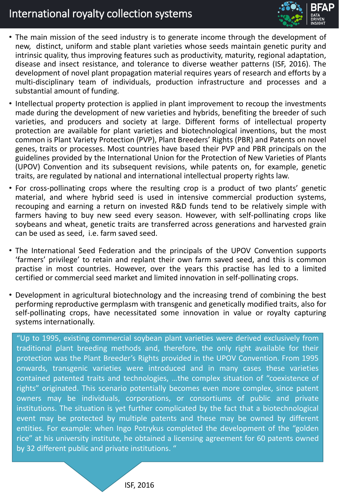## International royalty collection systems



- The main mission of the seed industry is to generate income through the development of new, distinct, uniform and stable plant varieties whose seeds maintain genetic purity and intrinsic quality, thus improving features such as productivity, maturity, regional adaptation, disease and insect resistance, and tolerance to diverse weather patterns (ISF, 2016). The development of novel plant propagation material requires years of research and efforts by a multi-disciplinary team of individuals, production infrastructure and processes and a substantial amount of funding.
- Intellectual property protection is applied in plant improvement to recoup the investments made during the development of new varieties and hybrids, benefiting the breeder of such varieties, and producers and society at large. Different forms of intellectual property protection are available for plant varieties and biotechnological inventions, but the most common is Plant Variety Protection (PVP), Plant Breeders' Rights (PBR) and Patents on novel genes, traits or processes. Most countries have based their PVP and PBR principals on the guidelines provided by the International Union for the Protection of New Varieties of Plants (UPOV) Convention and its subsequent revisions, while patents on, for example, genetic traits, are regulated by national and international intellectual property rights law.
- For cross-pollinating crops where the resulting crop is a product of two plants' genetic material, and where hybrid seed is used in intensive commercial production systems, recouping and earning a return on invested R&D funds tend to be relatively simple with farmers having to buy new seed every season. However, with self-pollinating crops like soybeans and wheat, genetic traits are transferred across generations and harvested grain can be used as seed, i.e. farm saved seed.
- The International Seed Federation and the principals of the UPOV Convention supports 'farmers' privilege' to retain and replant their own farm saved seed, and this is common practise in most countries. However, over the years this practise has led to a limited certified or commercial seed market and limited innovation in self-pollinating crops.
- Development in agricultural biotechnology and the increasing trend of combining the best performing reproductive germplasm with transgenic and genetically modified traits, also for self-pollinating crops, have necessitated some innovation in value or royalty capturing systems internationally.

"Up to 1995, existing commercial soybean plant varieties were derived exclusively from traditional plant breeding methods and, therefore, the only right available for their protection was the Plant Breeder's Rights provided in the UPOV Convention. From 1995 onwards, transgenic varieties were introduced and in many cases these varieties contained patented traits and technologies, …the complex situation of "coexistence of rights" originated. This scenario potentially becomes even more complex, since patent owners may be individuals, corporations, or consortiums of public and private institutions. The situation is yet further complicated by the fact that a biotechnological event may be protected by multiple patents and these may be owned by different entities. For example: when Ingo Potrykus completed the development of the "golden rice" at his university institute, he obtained a licensing agreement for 60 patents owned by 32 different public and private institutions. "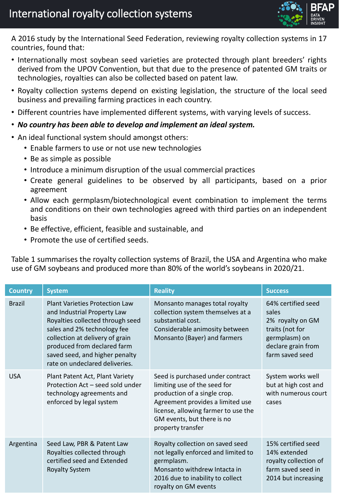

A 2016 study by the International Seed Federation, reviewing royalty collection systems in 17 countries, found that:

- Internationally most soybean seed varieties are protected through plant breeders' rights derived from the UPOV Convention, but that due to the presence of patented GM traits or technologies, royalties can also be collected based on patent law.
- Royalty collection systems depend on existing legislation, the structure of the local seed business and prevailing farming practices in each country.
- Different countries have implemented different systems, with varying levels of success.
- *No country has been able to develop and implement an ideal system.*
- An ideal functional system should amongst others:
	- Enable farmers to use or not use new technologies
	- Be as simple as possible
	- Introduce a minimum disruption of the usual commercial practices
	- Create general guidelines to be observed by all participants, based on a prior agreement
	- Allow each germplasm/biotechnological event combination to implement the terms and conditions on their own technologies agreed with third parties on an independent basis
	- Be effective, efficient, feasible and sustainable, and
	- Promote the use of certified seeds.

Table 1 summarises the royalty collection systems of Brazil, the USA and Argentina who make use of GM soybeans and produced more than 80% of the world's soybeans in 2020/21.

| <b>Country</b> | <b>System</b>                                                                                                                                                                                                                                                                 | <b>Reality</b>                                                                                                                                                                                                                 | <b>Success</b>                                                                                                               |
|----------------|-------------------------------------------------------------------------------------------------------------------------------------------------------------------------------------------------------------------------------------------------------------------------------|--------------------------------------------------------------------------------------------------------------------------------------------------------------------------------------------------------------------------------|------------------------------------------------------------------------------------------------------------------------------|
| <b>Brazil</b>  | <b>Plant Varieties Protection Law</b><br>and Industrial Property Law<br>Royalties collected through seed<br>sales and 2% technology fee<br>collection at delivery of grain<br>produced from declared farm<br>saved seed, and higher penalty<br>rate on undeclared deliveries. | Monsanto manages total royalty<br>collection system themselves at a<br>substantial cost.<br>Considerable animosity between<br>Monsanto (Bayer) and farmers                                                                     | 64% certified seed<br>sales<br>2% royalty on GM<br>traits (not for<br>germplasm) on<br>declare grain from<br>farm saved seed |
| <b>USA</b>     | Plant Patent Act, Plant Variety<br>Protection Act - seed sold under<br>technology agreements and<br>enforced by legal system                                                                                                                                                  | Seed is purchased under contract<br>limiting use of the seed for<br>production of a single crop.<br>Agreement provides a limited use<br>license, allowing farmer to use the<br>GM events, but there is no<br>property transfer | System works well<br>but at high cost and<br>with numerous court<br>cases                                                    |
| Argentina      | Seed Law, PBR & Patent Law<br>Royalties collected through<br>certified seed and Extended<br><b>Royalty System</b>                                                                                                                                                             | Royalty collection on saved seed<br>not legally enforced and limited to<br>germplasm.<br>Monsanto withdrew Intacta in<br>2016 due to inability to collect<br>royalty on GM events                                              | 15% certified seed<br>14% extended<br>royalty collection of<br>farm saved seed in<br>2014 but increasing                     |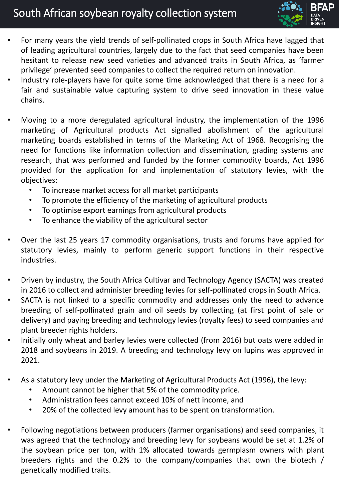# South African soybean royalty collection system



- For many years the yield trends of self-pollinated crops in South Africa have lagged that of leading agricultural countries, largely due to the fact that seed companies have been hesitant to release new seed varieties and advanced traits in South Africa, as 'farmer privilege' prevented seed companies to collect the required return on innovation.
- Industry role-players have for quite some time acknowledged that there is a need for a fair and sustainable value capturing system to drive seed innovation in these value chains.
- Moving to a more deregulated agricultural industry, the implementation of the 1996 marketing of Agricultural products Act signalled abolishment of the agricultural marketing boards established in terms of the Marketing Act of 1968. Recognising the need for functions like information collection and dissemination, grading systems and research, that was performed and funded by the former commodity boards, Act 1996 provided for the application for and implementation of statutory levies, with the objectives:
	- To increase market access for all market participants
	- To promote the efficiency of the marketing of agricultural products
	- To optimise export earnings from agricultural products
	- To enhance the viability of the agricultural sector
- Over the last 25 years 17 commodity organisations, trusts and forums have applied for statutory levies, mainly to perform generic support functions in their respective industries.
- Driven by industry, the South Africa Cultivar and Technology Agency (SACTA) was created in 2016 to collect and administer breeding levies for self-pollinated crops in South Africa.
- SACTA is not linked to a specific commodity and addresses only the need to advance breeding of self-pollinated grain and oil seeds by collecting (at first point of sale or delivery) and paying breeding and technology levies (royalty fees) to seed companies and plant breeder rights holders.
- Initially only wheat and barley levies were collected (from 2016) but oats were added in 2018 and soybeans in 2019. A breeding and technology levy on lupins was approved in 2021.
- As a statutory levy under the Marketing of Agricultural Products Act (1996), the levy:
	- Amount cannot be higher that 5% of the commodity price.
	- Administration fees cannot exceed 10% of nett income, and
	- 20% of the collected levy amount has to be spent on transformation.
- Following negotiations between producers (farmer organisations) and seed companies, it was agreed that the technology and breeding levy for soybeans would be set at 1.2% of the soybean price per ton, with 1% allocated towards germplasm owners with plant breeders rights and the 0.2% to the company/companies that own the biotech / genetically modified traits.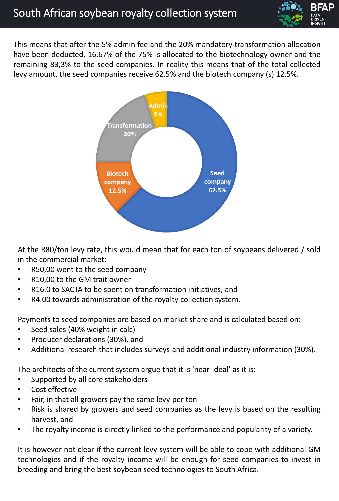

This means that after the 5% admin fee and the 20% mandatory transformation allocation have been deducted, 16.67% of the 75% is allocated to the biotechnology owner and the remaining 83,3% to the seed companies. In reality this means that of the total collected levy amount, the seed companies receive 62.5% and the biotech company (s) 12.5%.



At the R80/ton levy rate, this would mean that for each ton of soybeans delivered / sold in the commercial market:

- R50,00 went to the seed company
- R10,00 to the GM trait owner
- R16.0 to SACTA to be spent on transformation initiatives, and
- R4.00 towards administration of the royalty collection system.

Payments to seed companies are based on market share and is calculated based on:

- Seed sales (40% weight in calc)
- Producer declarations (30%), and
- Additional research that includes surveys and additional industry information (30%).

The architects of the current system argue that it is 'near-ideal' as it is:

- Supported by all core stakeholders
- Cost effective
- Fair, in that all growers pay the same levy per ton
- Risk is shared by growers and seed companies as the levy is based on the resulting harvest, and
- The royalty income is directly linked to the performance and popularity of a variety.

It is however not clear if the current levy system will be able to cope with additional GM technologies and if the royalty income will be enough for seed companies to invest in breeding and bring the best soybean seed technologies to South Africa.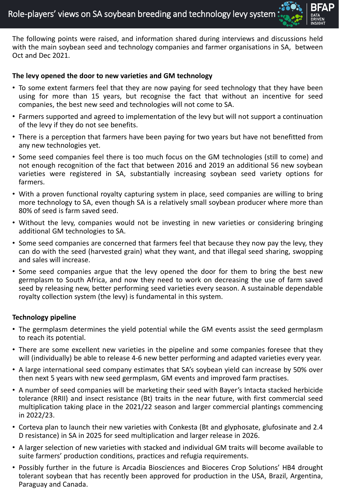

The following points were raised, and information shared during interviews and discussions held with the main soybean seed and technology companies and farmer organisations in SA, between Oct and Dec 2021.

#### **The levy opened the door to new varieties and GM technology**

- To some extent farmers feel that they are now paying for seed technology that they have been using for more than 15 years, but recognise the fact that without an incentive for seed companies, the best new seed and technologies will not come to SA.
- Farmers supported and agreed to implementation of the levy but will not support a continuation of the levy if they do not see benefits.
- There is a perception that farmers have been paying for two years but have not benefitted from any new technologies yet.
- Some seed companies feel there is too much focus on the GM technologies (still to come) and not enough recognition of the fact that between 2016 and 2019 an additional 56 new soybean varieties were registered in SA, substantially increasing soybean seed variety options for farmers.
- With a proven functional royalty capturing system in place, seed companies are willing to bring more technology to SA, even though SA is a relatively small soybean producer where more than 80% of seed is farm saved seed.
- Without the levy, companies would not be investing in new varieties or considering bringing additional GM technologies to SA.
- Some seed companies are concerned that farmers feel that because they now pay the levy, they can do with the seed (harvested grain) what they want, and that illegal seed sharing, swopping and sales will increase.
- Some seed companies argue that the levy opened the door for them to bring the best new germplasm to South Africa, and now they need to work on decreasing the use of farm saved seed by releasing new, better performing seed varieties every season. A sustainable dependable royalty collection system (the levy) is fundamental in this system.

#### **Technology pipeline**

- The germplasm determines the yield potential while the GM events assist the seed germplasm to reach its potential.
- There are some excellent new varieties in the pipeline and some companies foresee that they will (individually) be able to release 4-6 new better performing and adapted varieties every year.
- A large international seed company estimates that SA's soybean yield can increase by 50% over then next 5 years with new seed germplasm, GM events and improved farm practises.
- A number of seed companies will be marketing their seed with Bayer's Intacta stacked herbicide tolerance (RRII) and insect resistance (Bt) traits in the near future, with first commercial seed multiplication taking place in the 2021/22 season and larger commercial plantings commencing in 2022/23.
- Corteva plan to launch their new varieties with Conkesta (Bt and glyphosate, glufosinate and 2.4 D resistance) in SA in 2025 for seed multiplication and larger release in 2026.
- A larger selection of new varieties with stacked and individual GM traits will become available to suite farmers' production conditions, practices and refugia requirements.
- Possibly further in the future is Arcadia Biosciences and Bioceres Crop Solutions' HB4 drought tolerant soybean that has recently been approved for production in the USA, Brazil, Argentina, Paraguay and Canada.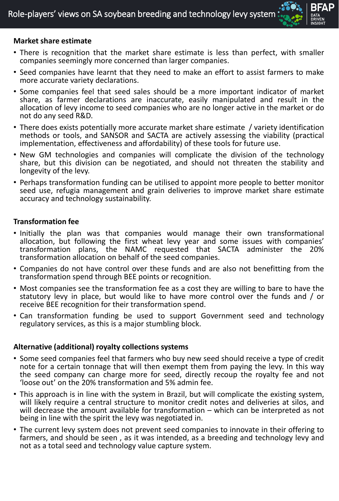

### **Market share estimate**

- There is recognition that the market share estimate is less than perfect, with smaller companies seemingly more concerned than larger companies.
- Seed companies have learnt that they need to make an effort to assist farmers to make more accurate variety declarations.
- Some companies feel that seed sales should be a more important indicator of market share, as farmer declarations are inaccurate, easily manipulated and result in the allocation of levy income to seed companies who are no longer active in the market or do not do any seed R&D.
- There does exists potentially more accurate market share estimate / variety identification methods or tools, and SANSOR and SACTA are actively assessing the viability (practical implementation, effectiveness and affordability) of these tools for future use.
- New GM technologies and companies will complicate the division of the technology share, but this division can be negotiated, and should not threaten the stability and longevity of the levy.
- Perhaps transformation funding can be utilised to appoint more people to better monitor seed use, refugia management and grain deliveries to improve market share estimate accuracy and technology sustainability.

### **Transformation fee**

- Initially the plan was that companies would manage their own transformational allocation, but following the first wheat levy year and some issues with companies' transformation plans, the NAMC requested that SACTA administer the 20% transformation allocation on behalf of the seed companies.
- Companies do not have control over these funds and are also not benefitting from the transformation spend through BEE points or recognition.
- Most companies see the transformation fee as a cost they are willing to bare to have the statutory levy in place, but would like to have more control over the funds and / or receive BEE recognition for their transformation spend.
- Can transformation funding be used to support Government seed and technology regulatory services, as this is a major stumbling block.

### **Alternative (additional) royalty collections systems**

- Some seed companies feel that farmers who buy new seed should receive a type of credit note for a certain tonnage that will then exempt them from paying the levy. In this way the seed company can charge more for seed, directly recoup the royalty fee and not 'loose out' on the 20% transformation and 5% admin fee.
- This approach is in line with the system in Brazil, but will complicate the existing system, will likely require a central structure to monitor credit notes and deliveries at silos, and will decrease the amount available for transformation – which can be interpreted as not being in line with the spirit the levy was negotiated in.
- The current levy system does not prevent seed companies to innovate in their offering to farmers, and should be seen , as it was intended, as a breeding and technology levy and not as a total seed and technology value capture system.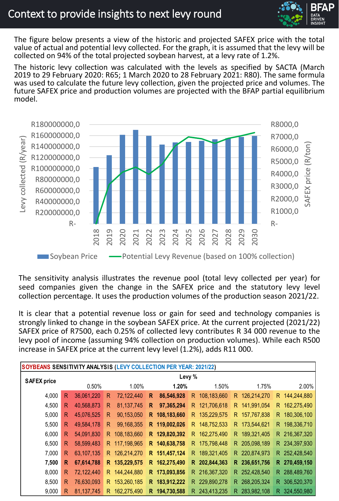

### Context to provide insights to next levy round

The figure below presents a view of the historic and projected SAFEX price with the total value of actual and potential levy collected. For the graph, it is assumed that the levy will be collected on 94% of the total projected soybean harvest, at a levy rate of 1.2%.

The historic levy collection was calculated with the levels as specified by SACTA (March 2019 to 29 February 2020: R65; 1 March 2020 to 28 February 2021: R80). The same formula was used to calculate the future levy collection, given the projected price and volumes. The future SAFEX price and production volumes are projected with the BFAP partial equilibrium model.



The sensitivity analysis illustrates the revenue pool (total levy collected per year) for seed companies given the change in the SAFEX price and the statutory levy level collection percentage. It uses the production volumes of the production season 2021/22.

It is clear that a potential revenue loss or gain for seed and technology companies is strongly linked to change in the soybean SAFEX price. At the current projected (2021/22) SAFEX price of R7500, each 0.25% of collected levy contributes R 34 000 revenue to the levy pool of income (assuming 94% collection on production volumes). While each R500 increase in SAFEX price at the current levy level (1.2%), adds R11 000.

| SOYBEANS SENSITIVITY ANALYSIS (LEVY COLLECTION PER YEAR: 2021/22) |              |              |              |               |    |               |    |               |    |               |    |               |  |  |
|-------------------------------------------------------------------|--------------|--------------|--------------|---------------|----|---------------|----|---------------|----|---------------|----|---------------|--|--|
| <b>SAFEX price</b>                                                |              | Levy %       |              |               |    |               |    |               |    |               |    |               |  |  |
|                                                                   |              | 0.50%        |              | 1.00%         |    | 1.20%         |    | 1.50%         |    | 1.75%         |    | 2.00%         |  |  |
| 4,000                                                             | $\mathsf{R}$ | 36,061,220   | $\mathsf{R}$ | 72,122,440    | R  | 86,546,928    | R. | 108,183,660   | R. | 126,214,270   | R. | 144,244,880   |  |  |
| 4,500                                                             | R            | 40,568,873   | R            | 81, 137, 745  | R  | 97,365,294    | R. | 121,706,618   |    | R 141,991,054 |    | R 162,275,490 |  |  |
| 5,000                                                             | R            | 45,076,525   | R            | 90,153,050    | R. | 108,183,660   | R. | 135,229,575   | R. | 157,767,838   | R. | 180,306,100   |  |  |
| 5,500                                                             | R            | 49,584,178   | R            | 99,168,355    |    | R 119,002,026 | R. | 148,752,533   |    | R 173,544,621 |    | R 198,336,710 |  |  |
| 6,000                                                             | R            | 54,091,830   | R.           | 108,183,660   | R. | 129,820,392   | R. | 162,275,490   |    | R 189,321,405 |    | R 216,367,320 |  |  |
| 6,500                                                             | R            | 58,599,483   | R.           | 117,198,965   | R. | 140,638,758   | R. | 175,798,448   |    | R 205,098,189 |    | R 234,397,930 |  |  |
| 7,000                                                             | R            | 63,107,135   |              | R 126,214,270 |    | R 151,457,124 | R. | 189,321,405   |    | R 220,874,973 |    | R 252,428,540 |  |  |
| 7,500                                                             | $\mathsf{R}$ | 67,614,788   |              | R 135,229,575 | R. | 162,275,490   | R. | 202,844,363   |    | R 236,651,756 |    | R 270,459,150 |  |  |
| 8,000                                                             | R            | 72,122,440   |              | R 144,244,880 |    | R 173,093,856 |    | R 216,367,320 |    | R 252,428,540 |    | R 288,489,760 |  |  |
| 8,500                                                             | R            | 76,630,093   |              | R 153,260,185 | R. | 183,912,222   | R. | 229,890,278   | R. | 268,205,324   | R. | 306,520,370   |  |  |
| 9,000                                                             | R            | 81, 137, 745 | R.           | 162,275,490   | R. | 194,730,588   | R. | 243,413,235   | R. | 283,982,108   | R  | 324,550,980   |  |  |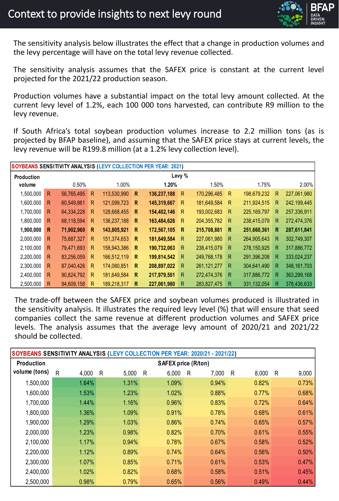The sensitivity analysis below illustrates the effect that a change in production volumes and the levy percentage will have on the total levy revenue collected.

The sensitivity analysis assumes that the SAFEX price is constant at the current level projected for the 2021/22 production season.

Production volumes have a substantial impact on the total levy amount collected. At the current levy level of 1.2%, each 100 000 tons harvested, can contribute R9 million to the levy revenue.

If South Africa's total soybean production volumes increase to 2.2 million tons (as is projected by BFAP baseline), and assuming that the SAFEX price stays at current levels, the levy revenue will be R199.8 million (at a 1.2% levy collection level).

|            |              |            |              |             |              | SOYBEANS SENSITIVITY ANALYSIS (LEVY COLLECTION PER YEAR: 2021) |              |               |    |               |   |               |  |
|------------|--------------|------------|--------------|-------------|--------------|----------------------------------------------------------------|--------------|---------------|----|---------------|---|---------------|--|
| Production | Levy %       |            |              |             |              |                                                                |              |               |    |               |   |               |  |
| volume     |              | 0.50%      |              | 1.00%       |              | 1.20%                                                          |              | 1.50%         |    | 1.75%         |   | 2.00%         |  |
| 1,500,000  | $\mathsf{R}$ | 56,765,495 | $\mathsf{R}$ | 113,530,990 | R            | 136,237,188                                                    | R            | 170,296,485   | R  | 198,679,232   | R | 227,061,980   |  |
| 1,600,000  | R            | 60,549,861 | R            | 121,099,723 | $\mathsf{R}$ | 145,319,667                                                    | R            | 181,649,584   | R  | 211,924,515   | R | 242,199,445   |  |
| 1,700,000  | R            | 64,334,228 | R            | 128,668,455 | $\mathsf{R}$ | 154,402,146                                                    | R            | 193,002,683   | R. | 225, 169, 797 | R | 257,336,911   |  |
| 1,800,000  | R            | 68,118,594 | R            | 136,237,188 | $\mathsf{R}$ | 163,484,626                                                    | R            | 204, 355, 782 | R  | 238,415,079   | R | 272,474,376   |  |
| 1,900,000  | R            | 71,902,960 | R            | 143,805,921 | $\mathsf{R}$ | 172,567,105                                                    | $\mathsf{R}$ | 215,708,881   | R  | 251,660,361   | R | 287,611,841   |  |
| 2,000,000  | R            | 75,687,327 | R            | 151,374,653 | -R           | 181,649,584                                                    | R            | 227,061,980   | R  | 264,905,643   | R | 302,749,307   |  |
| 2,100,000  | R            | 79,471,693 | R            | 158,943,386 | $\mathsf{R}$ | 190,732,063                                                    | $\mathsf{R}$ | 238,415,079   | R  | 278,150,925   | R | 317,886,772   |  |
| 2,200,000  | R            | 83,256,059 | R            | 166,512,119 | $\mathsf{R}$ | 199,814,542                                                    | R            | 249,768,178   | R  | 291,396,208   | R | 333,024,237   |  |
| 2,300,000  | R            | 87,040,426 | R            | 174,080,851 | R            | 208,897,022                                                    | R            | 261, 121, 277 | R  | 304,641,490   | R | 348, 161, 703 |  |
| 2,400,000  | R            | 90,824,792 | R            | 181,649,584 | $\mathsf{R}$ | 217,979,501                                                    | R.           | 272,474,376   | R  | 317,886,772   | R | 363,299,168   |  |
| 2,500,000  | R            | 94,609,158 | R            | 189,218,317 | R            | 227,061,980                                                    | R            | 283,827,475   | R  | 331,132,054   | R | 378,436,633   |  |

The trade-off between the SAFEX price and soybean volumes produced is illustrated in the sensitivity analysis. It illustrates the required levy level (%) that will ensure that seed companies collect the same revenue at different production volumes and SAFEX price levels. The analysis assumes that the average levy amount of 2020/21 and 2021/22 should be collected.

|               |            |            |            | SOYBEANS SENSITIVITY ANALYSIS (LEVY COLLECTION PER YEAR: 2020/21 - 2021/22) |            |            |
|---------------|------------|------------|------------|-----------------------------------------------------------------------------|------------|------------|
| Production    |            |            |            | <b>SAFEX price (R/ton)</b>                                                  |            |            |
| volume (tons) | R<br>4,000 | R<br>5,000 | 6,000<br>R | 7,000<br>R                                                                  | 8,000<br>R | 9,000<br>R |
| 1,500,000     | 1.64%      | 1.31%      | 1.09%      | 0.94%                                                                       | 0.82%      | 0.73%      |
| 1,600,000     | 1.53%      | 1.23%      | 1.02%      | 0.88%                                                                       | 0.77%      | 0.68%      |
| 1,700,000     | 1.44%      | 1.16%      | 0.96%      | 0.83%                                                                       | 0.72%      | 0.64%      |
| 1,800,000     | 1.36%      | 1.09%      | 0.91%      | 0.78%                                                                       | 0.68%      | 0.61%      |
| 1,900,000     | 1.29%      | 1.03%      | 0.86%      | 0.74%                                                                       | 0.65%      | 0.57%      |
| 2,000,000     | 1.23%      | 0.98%      | 0.82%      | 0.70%                                                                       | 0.61%      | 0.55%      |
| 2,100,000     | 1.17%      | 0.94%      | 0.78%      | 0.67%                                                                       | 0.58%      | 0.52%      |
| 2,200,000     | 1.12%      | 0.89%      | 0.74%      | 0.64%                                                                       | 0.56%      | 0.50%      |
| 2,300,000     | 1.07%      | 0.85%      | 0.71%      | 0.61%                                                                       | 0.53%      | 0.47%      |
| 2,400,000     | 1.02%      | 0.82%      | 0.68%      | 0.58%                                                                       | 0.51%      | 0.45%      |
| 2,500,000     | 0.98%      | 0.79%      | 0.65%      | 0.56%                                                                       | 0.49%      | 0.44%      |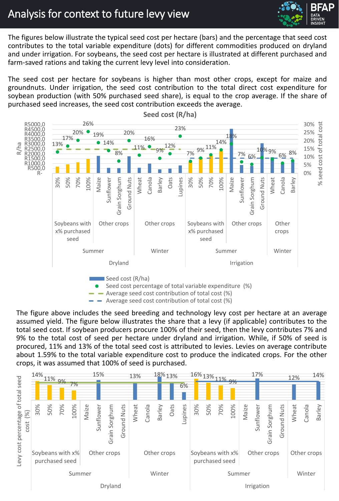

# Analysis for context to future levy view

The figures below illustrate the typical seed cost per hectare (bars) and the percentage that seed cost contributes to the total variable expenditure (dots) for different commodities produced on dryland and under irrigation. For soybeans, the seed cost per hectare is illustrated at different purchased and farm-saved rations and taking the current levy level into consideration.

The seed cost per hectare for soybeans is higher than most other crops, except for maize and groundnuts. Under irrigation, the seed cost contribution to the total direct cost expenditure for soybean production (with 50% purchased seed share), is equal to the crop average. If the share of purchased seed increases, the seed cost contribution exceeds the average.



**Seed cost (R/ha)**

The figure above includes the seed breeding and technology levy cost per hectare at an average assumed yield. The figure below illustrates the share that a levy (if applicable) contributes to the total seed cost. If soybean producers procure 100% of their seed, then the levy contributes 7% and 9% to the total cost of seed per hectare under dryland and irrigation. While, if 50% of seed is procured, 11% and 13% of the total seed cost is attributed to levies. Levies on average contribute about 1.59% to the total variable expenditure cost to produce the indicated crops. For the other crops, it was assumed that 100% of seed is purchased.

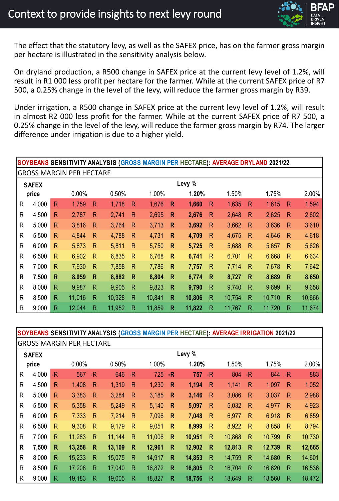

The effect that the statutory levy, as well as the SAFEX price, has on the farmer gross margin per hectare is illustrated in the sensitivity analysis below.

On dryland production, a R500 change in SAFEX price at the current levy level of 1.2%, will result in R1 000 less profit per hectare for the farmer. While at the current SAFEX price of R7 500, a 0.25% change in the level of the levy, will reduce the farmer gross margin by R39.

Under irrigation, a R500 change in SAFEX price at the current levy level of 1.2%, will result in almost R2 000 less profit for the farmer. While at the current SAFEX price of R7 500, a 0.25% change in the level of the levy, will reduce the farmer gross margin by R74. The larger difference under irrigation is due to a higher yield.

|   |              |              |                                 |              |        |              | SOYBEANS SENSITIVITY ANALYSIS (GROSS MARGIN PER HECTARE): AVERAGE DRYLAND 2021/22 |              |        |              |        |              |        |              |        |
|---|--------------|--------------|---------------------------------|--------------|--------|--------------|-----------------------------------------------------------------------------------|--------------|--------|--------------|--------|--------------|--------|--------------|--------|
|   |              |              | <b>GROSS MARGIN PER HECTARE</b> |              |        |              |                                                                                   |              |        |              |        |              |        |              |        |
|   | <b>SAFEX</b> | Levy %       |                                 |              |        |              |                                                                                   |              |        |              |        |              |        |              |        |
|   | price        |              | 0.00%                           |              | 0.50%  |              | 1.00%                                                                             |              | 1.20%  |              | 1.50%  |              | 1.75%  |              | 2.00%  |
| R | 4,000        | $\mathsf{R}$ | 1,759                           | $\mathsf{R}$ | 1,718  | $\mathsf{R}$ | 1,676                                                                             | $\mathsf{R}$ | 1,660  | $\mathsf{R}$ | 1,635  | $\mathsf{R}$ | 1,615  | $\mathsf{R}$ | 1,594  |
| R | 4,500        | R            | 2,787                           | R            | 2,741  | $\mathsf{R}$ | 2,695                                                                             | $\mathsf{R}$ | 2,676  | $\mathsf{R}$ | 2,648  | R            | 2,625  | $\mathsf{R}$ | 2,602  |
| R | 5,000        | R            | 3,816                           | $\mathsf{R}$ | 3,764  | $\mathsf{R}$ | 3,713                                                                             | $\mathsf{R}$ | 3,692  | $\mathsf{R}$ | 3,662  | $\mathsf{R}$ | 3,636  | $\mathsf{R}$ | 3,610  |
| R | 5,500        | R            | 4,844                           | $\mathsf{R}$ | 4,788  | $\mathsf{R}$ | 4,731                                                                             | $\mathsf{R}$ | 4,709  | $\mathsf{R}$ | 4,675  | $\mathsf{R}$ | 4,646  | $\mathsf{R}$ | 4,618  |
| R | 6,000        | $\mathsf{R}$ | 5,873                           | $\mathsf{R}$ | 5,811  | R            | 5,750                                                                             | $\mathsf{R}$ | 5,725  | $\mathsf{R}$ | 5,688  | $\mathsf{R}$ | 5,657  | $\mathsf{R}$ | 5,626  |
| R | 6,500        | R            | 6,902                           | $\mathsf{R}$ | 6,835  | $\mathsf{R}$ | 6,768                                                                             | R            | 6,741  | R            | 6,701  | $\mathsf{R}$ | 6,668  | $\mathsf{R}$ | 6,634  |
| R | 7,000        | $\mathsf{R}$ | 7,930                           | $\mathsf{R}$ | 7,858  | $\mathsf{R}$ | 7,786                                                                             | $\mathsf{R}$ | 7,757  | R            | 7,714  | $\mathsf{R}$ | 7,678  | $\mathsf{R}$ | 7,642  |
| R | 7,500        | $\mathsf{R}$ | 8,959                           | $\mathsf{R}$ | 8,882  | $\mathsf{R}$ | 8,804                                                                             | R            | 8,774  | $\mathsf{R}$ | 8,727  | $\mathsf{R}$ | 8,689  | $\mathsf{R}$ | 8,650  |
| R | 8,000        | $\mathsf{R}$ | 9,987                           | $\mathsf{R}$ | 9,905  | R            | 9,823                                                                             | $\mathsf{R}$ | 9,790  | $\mathsf{R}$ | 9,740  | $\mathsf{R}$ | 9,699  | $\mathsf{R}$ | 9,658  |
| R | 8,500        | R            | 11,016                          | R            | 10,928 | $\mathsf{R}$ | 10,841                                                                            | R            | 10,806 | $\mathsf{R}$ | 10,754 | $\mathsf{R}$ | 10,710 | R            | 10,666 |
| R | 9,000        | R            | 12,044                          | R            | 11,952 | R            | 11,859                                                                            | R            | 11,822 | $\mathsf{R}$ | 11,767 | R            | 11,720 | R            | 11,674 |

GROSS MARGIN RED HECTARE **SOYBEANS SENSITIVITY ANALYSIS (GROSS MARGIN PER HECTARE): AVERAGE IRRIGATION 2021/22**

|              |              |              | UNUJJI MANUHI FENTILUTANE |              |        |              |        |              |        |              |        |              |         |              |        |  |
|--------------|--------------|--------------|---------------------------|--------------|--------|--------------|--------|--------------|--------|--------------|--------|--------------|---------|--------------|--------|--|
|              | <b>SAFEX</b> | Levy %       |                           |              |        |              |        |              |        |              |        |              |         |              |        |  |
|              | price        |              | 0.00%                     |              | 0.50%  |              | 1.00%  |              | 1.20%  |              | 1.50%  |              | 1.75%   |              | 2.00%  |  |
| R            | 4,000        | -R           | 567                       | $-R$         | 646    | -R           | 725    | $-R$         | 757    | -R           | 804    | $-R$         | 844 - R |              | 883    |  |
| $\mathsf{R}$ | 4,500        | R            | 1,408                     | $\mathsf{R}$ | 1,319  | $\mathsf{R}$ | 1,230  | $\mathsf{R}$ | 1,194  | $\mathsf{R}$ | 1,141  | $\mathsf{R}$ | 1,097   | $\mathsf{R}$ | 1,052  |  |
| R            | 5,000        | R            | 3,383                     | $\mathsf{R}$ | 3,284  | $\mathsf{R}$ | 3,185  | $\mathsf{R}$ | 3,146  | $\mathsf{R}$ | 3,086  | $\mathsf{R}$ | 3,037   | $\mathsf{R}$ | 2,988  |  |
| R            | 5,500        | $\mathsf{R}$ | 5,358                     | $\mathsf{R}$ | 5,249  | $\mathsf{R}$ | 5,140  | $\mathsf{R}$ | 5,097  | $\mathsf{R}$ | 5,032  | $\mathsf{R}$ | 4,977   | $\mathsf{R}$ | 4,923  |  |
| R            | 6,000        | $\mathsf{R}$ | 7,333                     | $\mathsf{R}$ | 7,214  | $\mathsf{R}$ | 7,096  | $\mathsf{R}$ | 7,048  | $\mathsf{R}$ | 6,977  | $\mathsf{R}$ | 6,918   | $\mathsf{R}$ | 6,859  |  |
| R            | 6,500        | $\mathsf{R}$ | 9,308                     | $\mathsf{R}$ | 9,179  | $\mathsf{R}$ | 9,051  | R            | 8,999  | $\mathsf{R}$ | 8,922  | $\mathsf{R}$ | 8,858   | $\mathsf{R}$ | 8,794  |  |
| $\mathsf{R}$ | 7,000        | $\mathsf{R}$ | 11,283                    | $\mathsf{R}$ | 11,144 | $\mathsf{R}$ | 11,006 | $\mathsf{R}$ | 10,951 | $\mathsf{R}$ | 10,868 | $\mathsf{R}$ | 10,799  | $\mathsf{R}$ | 10,730 |  |
| R            | 7,500        | $\mathsf{R}$ | 13,258                    | $\mathsf{R}$ | 13,109 | $\mathsf{R}$ | 12,961 | $\mathsf{R}$ | 12,902 | $\mathsf{R}$ | 12,813 | $\mathsf{R}$ | 12,739  | $\mathsf{R}$ | 12,665 |  |
| $\mathsf{R}$ | 8,000        | $\mathsf{R}$ | 15,233                    | $\mathsf{R}$ | 15,075 | $\mathsf{R}$ | 14,917 | R            | 14,853 | $\mathsf{R}$ | 14,759 | R            | 14,680  | R            | 14,601 |  |
| R            | 8,500        | $\mathsf{R}$ | 17,208                    | R            | 17,040 | R            | 16,872 | $\mathsf{R}$ | 16,805 | $\mathsf{R}$ | 16,704 | $\mathsf{R}$ | 16,620  | $\mathsf{R}$ | 16,536 |  |
| R            | 9,000        | $\mathsf{R}$ | 19,183                    | R            | 19,005 | $\mathsf{R}$ | 18,827 | $\mathsf{R}$ | 18,756 | $\mathsf{R}$ | 18,649 | R.           | 18,560  | R            | 18,472 |  |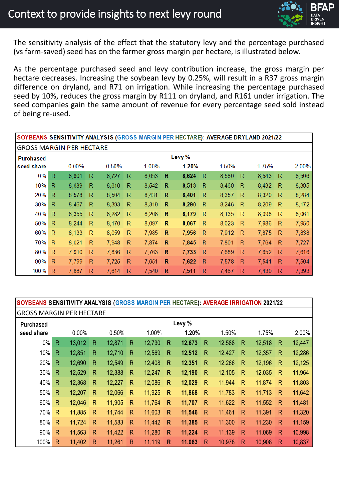### Context to provide insights to next levy round

The sensitivity analysis of the effect that the statutory levy and the percentage purchased (vs farm-saved) seed has on the farmer gross margin per hectare, is illustrated below.

As the percentage purchased seed and levy contribution increase, the gross margin per hectare decreases. Increasing the soybean levy by 0.25%, will result in a R37 gross margin difference on dryland, and R71 on irrigation. While increasing the percentage purchased seed by 10%, reduces the gross margin by R111 on dryland, and R161 under irrigation. The seed companies gain the same amount of revenue for every percentage seed sold instead of being re-used.

| SOYBEANS SENSITIVITY ANALYSIS (GROSS MARGIN PER HECTARE): AVERAGE DRYLAND 2021/22 |              |          |              |       |              |       |   |       |              |       |   |       |   |       |
|-----------------------------------------------------------------------------------|--------------|----------|--------------|-------|--------------|-------|---|-------|--------------|-------|---|-------|---|-------|
| GROSS MARGIN PER HECTARE                                                          |              |          |              |       |              |       |   |       |              |       |   |       |   |       |
| <b>Purchased</b>                                                                  | Levy %       |          |              |       |              |       |   |       |              |       |   |       |   |       |
| seed share                                                                        |              | $0.00\%$ |              | 0.50% |              | 1.00% |   | 1.20% |              | 1.50% |   | 1.75% |   | 2.00% |
| 0%                                                                                | $\mathsf R$  | 8,801    | R            | 8,727 | $\mathsf{R}$ | 8,653 | R | 8,624 | R            | 8,580 | R | 8,543 | R | 8,506 |
| 10%                                                                               | $\mathsf{R}$ | 8,689    | R            | 8,616 | R            | 8,542 | R | 8,513 | R            | 8,469 | R | 8,432 | R | 8,395 |
| 20%                                                                               | $\mathsf{R}$ | 8,578    | R            | 8,504 | R            | 8,431 | R | 8,401 | R            | 8,357 | R | 8,320 | R | 8,284 |
| 30%                                                                               | $\mathsf R$  | 8,467    | R            | 8,393 | $\mathsf{R}$ | 8,319 | R | 8,290 | $\mathsf{R}$ | 8,246 | R | 8,209 | R | 8,172 |
| 40%                                                                               | $\mathsf{R}$ | 8,355    | R            | 8,282 | R            | 8,208 | R | 8,179 | R            | 8,135 | R | 8,098 | R | 8,061 |
| 50%                                                                               | $\mathsf R$  | 8,244    | R            | 8,170 | $\mathsf{R}$ | 8,097 | R | 8,067 | R            | 8,023 | R | 7,986 | R | 7,950 |
| 60%                                                                               | $\mathsf{R}$ | 8,133    | $\mathsf{R}$ | 8,059 | R            | 7,985 | R | 7,956 | R            | 7,912 | R | 7,875 | R | 7,838 |
| 70%                                                                               | $\mathsf{R}$ | 8,021    | R            | 7,948 | R            | 7,874 | R | 7,845 | R            | 7,801 | R | 7,764 | R | 7,727 |
| 80%                                                                               | $\mathsf{R}$ | 7,910    | R            | 7,836 | R            | 7,763 | R | 7,733 | R            | 7,689 | R | 7,652 | R | 7,616 |
| 90%                                                                               | R            | 7,799    | R            | 7,725 | $\mathsf{R}$ | 7,651 | R | 7,622 | R            | 7,578 | R | 7,541 | R | 7,504 |
| 100%                                                                              | R            | 7,687    | R            | 7,614 | R            | 7,540 | R | 7,511 | R            | 7,467 | R | 7,430 | R | 7,393 |

### **SOYBEANS SENSITIVITY ANALYSIS (GROSS MARGIN PER HECTARE): AVERAGE IRRIGATION 2021/22**

| <b>Purchased</b> |              |        |              |        |              |        |              | Levy % |              |        |              |        |              |        |
|------------------|--------------|--------|--------------|--------|--------------|--------|--------------|--------|--------------|--------|--------------|--------|--------------|--------|
| seed share       |              | 0.00%  |              | 0.50%  |              | 1.00%  |              | 1.20%  |              | 1.50%  |              | 1.75%  |              | 2.00%  |
| $0\%$            | $\mathsf{R}$ | 13,012 | $\mathsf{R}$ | 12,871 | $\mathsf{R}$ | 12,730 | R            | 12,673 | $\mathsf{R}$ | 12,588 | R            | 12,518 | $\mathsf{R}$ | 12,447 |
| 10%              | $\mathsf{R}$ | 12,851 | R            | 12,710 | R            | 12,569 | R            | 12,512 | $\mathsf{R}$ | 12,427 | R            | 12,357 | R            | 12,286 |
| 20%              | $\mathsf{R}$ | 12,690 | $\mathsf{R}$ | 12,549 | R            | 12,408 | $\mathsf{R}$ | 12,351 | $\mathsf{R}$ | 12,266 | $\mathsf{R}$ | 12,196 | R            | 12,125 |
| 30%              | $\mathsf{R}$ | 12,529 | $\mathsf{R}$ | 12,388 | $\mathsf{R}$ | 12,247 | $\mathsf{R}$ | 12,190 | $\mathsf{R}$ | 12,105 | $\mathsf{R}$ | 12,035 | $\mathsf{R}$ | 11,964 |
| 40%              | $\mathsf{R}$ | 12,368 | $\mathsf{R}$ | 12,227 | $\mathsf{R}$ | 12,086 | $\mathsf{R}$ | 12,029 | $\mathsf{R}$ | 11,944 | $\mathsf{R}$ | 11,874 | $\mathsf{R}$ | 11,803 |
| 50%              | $\mathsf{R}$ | 12,207 | $\mathsf{R}$ | 12,066 | $\mathsf{R}$ | 11,925 | $\mathsf{R}$ | 11,868 | $\mathsf{R}$ | 11,783 | $\mathsf{R}$ | 11,713 | $\mathsf{R}$ | 11,642 |
| 60%              | $\mathsf{R}$ | 12,046 | R            | 11,905 | $\mathsf{R}$ | 11,764 | $\mathsf{R}$ | 11,707 | R            | 11,622 | $\mathsf{R}$ | 11,552 | $\mathsf{R}$ | 11,481 |
| 70%              | $\mathsf{R}$ | 11,885 | $\mathsf{R}$ | 11,744 | $\mathsf{R}$ | 11,603 | $\mathsf{R}$ | 11,546 | $\mathsf{R}$ | 11,461 | $\mathsf{R}$ | 11,391 | $\mathsf{R}$ | 11,320 |
| 80%              | $\mathsf{R}$ | 11,724 | R            | 11,583 | $\mathsf{R}$ | 11,442 | R            | 11,385 | R            | 11,300 | $\mathsf{R}$ | 11,230 | R            | 11,159 |
| 90%              | $\mathsf{R}$ | 11,563 | $\mathsf{R}$ | 11,422 | $\mathsf{R}$ | 11,280 | $\mathsf{R}$ | 11,224 | $\mathsf{R}$ | 11,139 | R            | 11,069 | R            | 10,998 |
| 100%             | $\mathsf{R}$ | 11,402 | $\mathsf{R}$ | 11,261 | R            | 11,119 | $\mathsf{R}$ | 11,063 | $\mathsf{R}$ | 10,978 | R            | 10,908 | R            | 10,837 |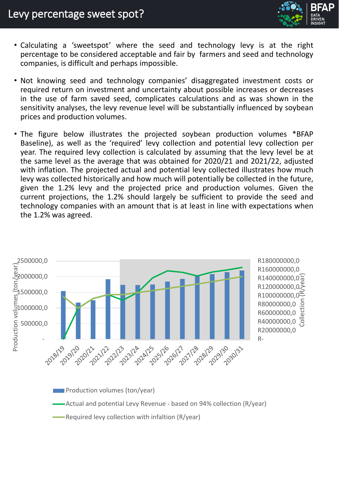

- Calculating a 'sweetspot' where the seed and technology levy is at the right percentage to be considered acceptable and fair by farmers and seed and technology companies, is difficult and perhaps impossible.
- Not knowing seed and technology companies' disaggregated investment costs or required return on investment and uncertainty about possible increases or decreases in the use of farm saved seed, complicates calculations and as was shown in the sensitivity analyses, the levy revenue level will be substantially influenced by soybean prices and production volumes.
- The figure below illustrates the projected soybean production volumes \*BFAP Baseline), as well as the 'required' levy collection and potential levy collection per year. The required levy collection is calculated by assuming that the levy level be at the same level as the average that was obtained for 2020/21 and 2021/22, adjusted with inflation. The projected actual and potential levy collected illustrates how much levy was collected historically and how much will potentially be collected in the future, given the 1.2% levy and the projected price and production volumes. Given the current projections, the 1.2% should largely be sufficient to provide the seed and technology companies with an amount that is at least in line with expectations when the 1.2% was agreed.



**EXECUTE:** Required levy collection with infaltion (R/year)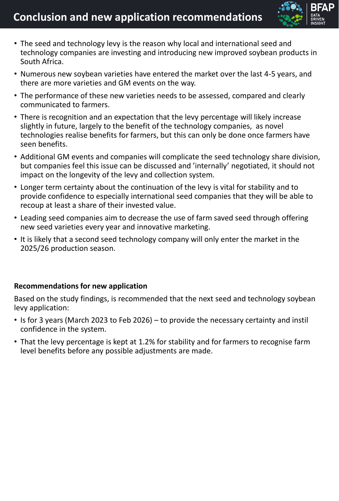

- The seed and technology levy is the reason why local and international seed and technology companies are investing and introducing new improved soybean products in South Africa.
- Numerous new soybean varieties have entered the market over the last 4-5 years, and there are more varieties and GM events on the way.
- The performance of these new varieties needs to be assessed, compared and clearly communicated to farmers.
- There is recognition and an expectation that the levy percentage will likely increase slightly in future, largely to the benefit of the technology companies, as novel technologies realise benefits for farmers, but this can only be done once farmers have seen benefits.
- Additional GM events and companies will complicate the seed technology share division, but companies feel this issue can be discussed and 'internally' negotiated, it should not impact on the longevity of the levy and collection system.
- Longer term certainty about the continuation of the levy is vital for stability and to provide confidence to especially international seed companies that they will be able to recoup at least a share of their invested value.
- Leading seed companies aim to decrease the use of farm saved seed through offering new seed varieties every year and innovative marketing.
- It is likely that a second seed technology company will only enter the market in the 2025/26 production season.

#### **Recommendations for new application**

Based on the study findings, is recommended that the next seed and technology soybean levy application:

- Is for 3 years (March 2023 to Feb 2026) to provide the necessary certainty and instil confidence in the system.
- That the levy percentage is kept at 1.2% for stability and for farmers to recognise farm level benefits before any possible adjustments are made.